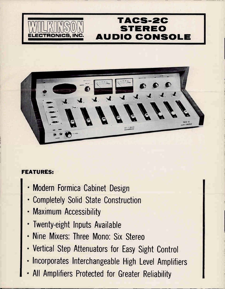

# TACS-2C Mðun Stereo AUDIO CONSOLE



# FEATURES:

- Modern Formica Cabinet Design
- Completely Solid State Construction
- Maximum Accessibility
- Twenty-eight Inputs Available
- Nine Mixers: Three Mono: Six Stereo
- Vertical Step Attenuators for Easy Sight Control
- Incorporates Interchangeable High Level Amplifiers
- All Amplifiers Protected for Greater Reliability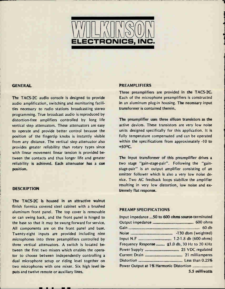

#### **GENERAL**

The TACS-2C audio console is designed to provide audio amplification, switching and monitoring facilities necessary to radio stations broadcasting stereo programming. True broadcast audio is reproduced by distortion-free amplifiers controlled by long life vertical step attenuators. These attenuators are easy to operate and provide better control because the position of the fingertip knobs is instantly visible from any distance. The vertical step attenuator also provides greater reliability than rotary types since with linear movement linear tension is provided between the contacts and thus longer life and greater reliability is achieved. Each attenuator has a cue position.

#### DESCRIPTION

The TACS-2C is housed in an attractive walnut finish formica covered steel cabinet with a brushed aluminum front panel. The top cover is removable or can swing back, and the front panel is hinged to the base so that it may be swung forward for service. All components are on the front panel and base. Twenty-eight inputs are provided including nine microphones into three preamplifiers controlled by three vertical attenuators. A switch is located between the first two mixers which enables the operator to choose between independently controlling a dual microphone setup or riding level together on two microphones with one mixer. Six high level inputs and twelve remote or auxiliary lines.

# PREAMPLIFIERS

Three preamplifiers are provided in the TACS-2C. Each of the microphone preamplifiers is constructed in an aluminum plug-in housing. The necessary input transformer is contained therein.

The preamplifier uses three silicon transistors as the active devices. These transistors are very low noise units designed specifically for this application. It is fully temperature compensated and can be operated within the specifications from approximately -10 to  $+50^{\circ}$ C.

The input transformer of this preamplifier drives a two stage "gain-stage-pair". Following the "gainstage-pair" is an output amplifier consisting of an emitter follower which is also a very low noise device. Two AC feedback loops stabilize the amplifier resulting in very low distortion, low noise and extremely flat response.

# PREAMP SPECIFICATIONS

| Input impedance  50 to 600 ohms source-terminated |
|---------------------------------------------------|
|                                                   |
|                                                   |
|                                                   |
|                                                   |
| Frequency Response  ±1.0 db, 30 Hz to 20 KHz      |
|                                                   |
|                                                   |
|                                                   |
| Power Output at 1% Harmonic Distortion            |
| 5.5 milliwatts                                    |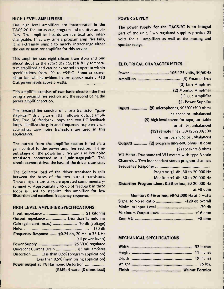## HIGH LEVEL AMPLIFIERS

Five high level amplifiers are incorporated in the TACS -2C for use as cue, program and monitor amplifiers. The amplifier boards are identical and interchangeable. If at any time a program amplifier fails, it is extremely simple to merely interchange either the cue or monitor amplifier for this service.

This amplifier uses eight silicon transistors and one silicon diode as the active devices. It is fully temperature stabilized and can be expected to operate within specifications from -20 to +55<sup>o</sup>C. Some crossover distortion will be evident below approximately +10 C at power levels above 5 watts.

This amplifier consists of two basic circuits—the first being a preamplifier section and the second being the power amplifier section.

The preamplifier consists of a two transistor "gainstage-pair" driving an emitter follower output amplifier. Two AC feedback loops and two DC feedback loops stabilize the gain and frequency-response characteristics. Low noise transistors are used in this application.

The output from the amplifier section is fed via a gain control to the power amplifier section. The input stages of the power amplifier are also low noise transistors connected as a "gain-stage-pair". This circuit current drives the base of the driver transistor.

The Collector load of the driver transistor is split between the bases of the two output transistors. These output transistors are operated complimentarysymmetry. Approximately 45 db of feedback in three loops is used to stabilize this amplifier for low distortion and excellent frequency response.

### HIGH LEVEL AMPLIFIER SPECIFICATIONS

| Output impedance  Less than 15 milohms           |
|--------------------------------------------------|
|                                                  |
|                                                  |
| Frequency Response  ±0.25 db, 20 Hz to 35 KHz    |
| (all power levels)                               |
|                                                  |
| Quiescent Current Drain  85 milliamperes         |
| Distortion  Less than 0.5% (program application) |
| Less than 0.5% (monitoring application)          |
| Power output at 1% Harmonic Distortion           |
| (RMS) 5 watts (8 ohms load)                      |

## POWER SUPPLY

The power supply for the TACS-2C is an integral part of the unit. Two regulated supplies provide 25 volts for all amplifiers as well as the muting and speaker relays.

# ELECTRICAL CHARACTERISTICS

| (2) Line Amplifier                                   |
|------------------------------------------------------|
| (2) Monitor Amplifier                                |
| (1) Cue Amplifier                                    |
| (2) Power Supplies                                   |
| Inputs  (9) microphones, 50/200/500 ohms             |
| balanced or unbalanced                               |
| (5) high level stereo for tape, turntable            |
| or utility, unbalanced                               |
| (12) remote lines, 50/125/200/500                    |
| ohms, balanced or unbalanced                         |
| Outputs  (2) program lines-600 ohms +8 dbm           |
| (2) speakers-8 ohms                                  |
| VU Meter. Two standard VU meters with type B scale   |
| Channels  Two independent stereo program channels    |
|                                                      |
| Program: ±1 db, 30 to 20,000 Hz                      |
| Monitor: ±1 db, 30 to 20,000 Hz                      |
| Distortion Program Lines: 0.5% or less, 30-20,000 Hz |
| $at + 8$ dbm                                         |
| Monitor: 0.5% or less, 30-15,000 Hz at 5 watts       |
|                                                      |
|                                                      |
|                                                      |
| $+8$ dbm                                             |

#### MECHANICAL SPECIFICATIONS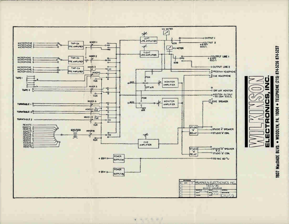

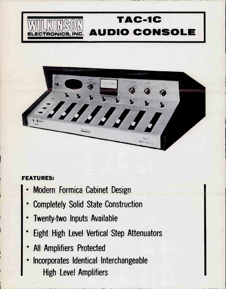

# TAC-1C AUDIO CONSOLE



# FEATURES:

- Modern Formica Cabinet Design
- Completely Solid State Construction
- Twenty-two Inputs Available
- Eight High Level Vertical Step Attenuators
- **All Amplifiers Protected**
- Incorporates Identical Interchangeable High Level Amplifiers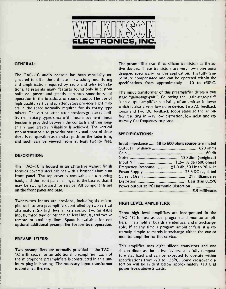

## GENERAL:

The TAC-1C audio console has been especially engineered to offer the ultimate in switching, monitoring and amplification required by radio and television stations. It presents many features found only in custom built equipment and greatly enhances smoothness of operation in the broadcast or sound studio. The use of high quality vertical step attenuators provides eight mixers in the space normally required for six rotary type mixers. The vertical attenuator provides greater reliability than rotary types since with linear movement, linear tension is provided between the contacts and thus longer life and greater reliability is achieved. The vertical step attenuator also provides better visual control since there is no question as to what position the fader is in, and such can be viewed from at least twenty feet.

#### DESCRIPTION:

The TAC-1C is housed in an attractive walnut finish formica covered steel cabinet with a brushed aluminum front panel. The top cover is removable or can swing back, and the front panel is hinged to the base so that it may be swung forward for service. All components are on the front panel and base.

Twenty-two inputs are provided, including six microphones into two preamplifiers controlled by two vertical attenuators. Six high level mixers control two turntable inputs, three tape or other high level inputs, and twelve remote or auxiliary lines. Space is available for one optional additional preamplifier for low level operation.

# PREAMPLIFIERS:

Two preamplifiers are normally provided in the TAC 1C with space for an additional preamplifier. Each of the microphone preamplifiers is constructed in an aluminum plug-in housing. The necessary input transformer is contained therein.

The preamplifier uses three silicon transistors as the active devices. These transistors are very low noise units designed specifically for this application. It is fully temperature compensated and can be operated within the specifications from approximately  $-10$  to  $+50$ <sup>o</sup>C.

The input transformer of this preamplifier drives a two stage "gain-stage-pair". Following the "gain-stage-pair" is an output amplifier consisting of an emitter follower which is also a very low noise device. Two AC feedback loops and two DC feedback loops stabilize the amplifier resulting in very low distortion, low noise and extremely flat frequency response.

# SPECIFICATIONS:

| Input impedance  50 to 600 ohms source-terminated |
|---------------------------------------------------|
|                                                   |
|                                                   |
|                                                   |
|                                                   |
| Frequency Response  ±1.0 db, 50 Hz to 20 KHz      |
|                                                   |
|                                                   |
|                                                   |
| Power output at 1% Harmonic Distortion            |
|                                                   |

#### HIGH LEVEL AMPLIFIERS:

Three high level amplifiers are incorporated in the TAC-1C for use as cue, program and monitor amplifiers. The amplifier boards are identical and interchangeable. If at any time a program amplifier fails, it is extremely simple to merely interchange either the cue or monitor amplifier for this service.

This amplifier uses eight silicon transistors and one silicon diode as the active devices. It is fully temperature stabilized and can be expected to operate within specifications from -20 to +55<sup>o</sup>C. Some crossover distortion will be evident below approximately +10 C at power levels above 5 watts.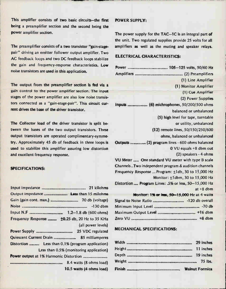This amplifier consists of two basic circuits—the first being a preamplifier section and the second being the power amplifier section.

The preamplifier consists of a two transistor "gain-stagepair" driving an emitter follower output amplifier. Two AC feedback loops and two DC feedback loops stabilize the gain and frequency-response characteristics. Low noise transistors are used in this application.

The output from the preamplifier section is fed via a gain control to the power amplifier section. The input stages of the power amplifier are also low noise transistors connected as a "gain-stage-pair". This circuit current drives the base of the driver transistor.

The Collector load of the driver transistor is split between the bases of the two output transistors. These output transistors are operated complimentary-symmetry. Approximately 45 db of feedback in three loops is used to stabilize this amplifier assuring low distortion and excellent frequency response.

# SPECIFICATIONS:

| Frequency Response $\pm 0.25$ db, 20 Hz to 35 KHz |                                         |
|---------------------------------------------------|-----------------------------------------|
|                                                   | (all power levels)                      |
|                                                   |                                         |
|                                                   |                                         |
| Distortion  Less than 0.1% (program application)  |                                         |
|                                                   | Less than 0.5% (monitoring application) |
| <b>Power output at 1% Harmonic Distortion </b>    |                                         |
|                                                   | 8.4 watts (8 ohms load)                 |
|                                                   | 10.5 watts (4 ohms load)                |

### POWER SUPPLY:

The power supply for the TAC-1C is an integral part of the unit. Two regulated supplies provide 25 volts for all amplifiers as well as the muting and speaker relays.

# ELECTRICAL CHARACTERISTICS:

| (1) Line Amplifier                                      |
|---------------------------------------------------------|
| (1) Monitor Amplifier                                   |
| (1) Cue Amplifier                                       |
| (2) Power Supplies                                      |
| Inputs  (6) michrophones, 50/200/500 ohms               |
| balanced or unbalanced                                  |
| (5) high level for tape, turntable                      |
| or utility, unbalanced                                  |
| (12) remote lines, 50/150/250/600                       |
| ohms, balanced or unbalanced                            |
|                                                         |
| 0 VU equals +8 dbm out                                  |
| $(2)$ speakers - 4 ohms                                 |
| VU Meter  One standard VU meter with type B scale       |
| ChannelsTwo independent program & audition channels     |
| Frequency Response  Program: $\pm$ 1db, 30 to 15,000 Hz |
| Monitor: $\pm 1$ dbm, 30 to 15,000 Hz                   |
| Distortion  Program Lines: .5% or less, 50-15,000 Hz    |
| $at + 8$ dbm                                            |
| Monitor: 1% or less, 50-15,000 Hz at 4 watts            |
|                                                         |
|                                                         |
|                                                         |
|                                                         |

# MECHANICAL SPECIFICATIONS: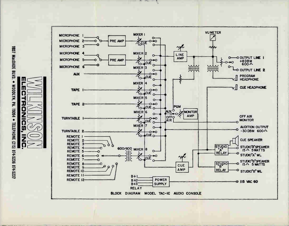1937 MacDADE BLVD. ● WOODLYN, PA. 19094 ● TELEPHONE (215) 874-5236 874-5237





the state of the con-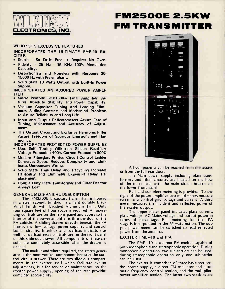

# FM2500E 2.5KW FM TRANSMITTER

#### WILKINSON EXCLUSIVE FEATURES

INCORPORATES THE ULTIMATE FME-10 EX-CITER

- Stable So Drift Free It Requires No Oven.
- Fidelity 25 Hz 15 KHz 100% Modulation Capability.
- Distortionless and Noiseless with Response 30- 15000 Hz with Pre-emphasis.
- Solid State 10 Watts Output with Built-In Power Supply.

INCORPORATES AN ASSURED POWER AMPLI-FIER

- Single Pentode 5CX1500A Final Amplifier. Assures Absolute Stability and Power Capability.
- Vacuum Capacitor Tuning And Loading Eliminates Sliding Contacts and Mechanical Problems to Assure Reliability and Long Life.
- Input and Output Reflectometers Assure Ease of Tuning, Maintenance and Accuracy of Adjustment.
- The Output Circuit and Exclusive Harmonic Filter Assure Freedom of Spurious Emissions and Harmonics.

INCORPORATES PROTECTED POWER SUPPLIES

- Uses Self Testing Wilkinson Silicon Rectifiers Voltage Protection 400% Current Protection 800%
- Modern Fiberglass Printed Circuit Control Ladder Conserves Space, Reduces Complexity and Eliminates Unnecessary Wiring.
- Solid State Time Delay and Recycling Increases Reliability and Eliminates Expensive Relay Replacement.
- Double Duty Plate Transformer and Filter Reactor Always Loaf.

#### GENERAL MECHANICAL DESCRIPTION

The FM2500E broadcast transmitter is housed in a steel cabinet finished in a hard durable Black Vinyl Finish with Brushed Aluminum Trim. Only four square feet of floor space is required. All operating controls are on the front panel and access to the interior of the power amplifier is thru the door of the PA cubicle. A sliding drawer directly beneath the PA houses the low voltage power supplies and control ladder circuits. Interlock and overload indicators as well as overload reset controls are on the front panel of this slide-out drawer. All components of these circuits are completely accessible when the drawer is opened.

The exciter and where required, the stereo generator is the next vertical component beneath the control circuit drawer. There are two slide-out compartments in the exciter itself which facilitate exciter adjustments, but for service or maintenance on the exciter power supply, opening of the rear provides complete accessibility:



All components can be reached from this access or from the full rear door.

The Main power supply including plate transformer, and filter circuitry are located on the base of the transmitter with the main circuit breaker on the lower front panel.

Full and complete metering is provided. To the right of the power amplifier two multimeters measure screen and control grid voltage and current. A third meter measures the incident and reflected power of the exciter output.

The upper meter panel indicates plate current, plate voltage, AC Mains voltage and output power in terms of percentage. Full metering for the IPA stage is incorporated in the 65 watt section. The output power meter can be switched to read reflected power from the antenna.

#### EXCITER FME-10 and IPA

The FME-10 is a direct FM exciter capable of both monophonic and stereophonic operation. During monophonic operation two sub-carriers can be used; during stereophonic operation only one sub-carrier can be used.

The exciter is comprised of three basic sections, the power supply, a direct FM oscillator and automatic frequency control section, and the multiplierpower amplifier section. The latter two sections are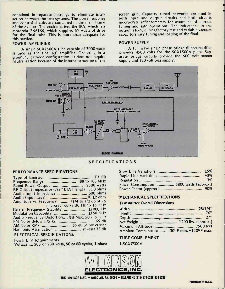contained in separate housings to eliminate interaction between the two systems. The power supplies and control circuits are contained in the main frame of the exciter. The exciter drives the IPA, which is a Motorola 2N6166, which supplies 65 watts of drive for the final tube. This is more than adequate for this service.

#### POWER AMPLIFIER

A single 5CX1500A tube capable of 3000 watts is used as the final RF amplifier. Operating in a grounded cathode configuration. It does not require neutralization because of the internal structure of the

screen grid. Capacity tuned networks are used in both input and output circuits and both circuits incorporate reflectometers for assurance of correct tuning and safe operations. The inductance in the output is fixed during factory test and variable vacuum capacitors vary tuning and loading of the final.

#### POWER SUPPLY

A full wave single phase bridge silicon rectifier provides 4500 volts for the 5CX1500A plate. Separate bridge circuits provide the 500 volt screen supply and 120 volt bias supply.



SPECIFICATIONS

### PERFORMANCE SPECIFICATIONS

Type of Emission F3 F9 Frequency Range 88 to 108 MHz Rated Power Output 2500 watts RF Output Impedance (7/8" EIA Flange) ... 50 ohms Audio Input Impedance 600 ohms Audio Input Level 0 ±2 dbm Amplitude vs. Frequency  $\ldots$  +1/4 to 1/2 db of 75 microsec. curve 30 Hz to 15 KHz Carrier Frequency Stability ...................... ±1000 Hz Modulation Capability +150 KHz Audio Frequency Distortion.. ..½% Max. 50 - 15 KHz FM Noise Below ±75 kc 65 db AM Noise RMS 55 db below carrier Harmonic Attenuation .......................... at least 73 db

# ELECTRICAL SPECIFICATIONS

Power Line Requirements Voltage .... 208 or 230 volts, 50 or 60 cycles, 1 phase

|                                         | $+5%$ |
|-----------------------------------------|-------|
|                                         | $+3%$ |
|                                         |       |
| Power Consumption  5800 watts (approx.) |       |
|                                         |       |

#### **MECHANICAL SPECIFICATIONS**

### Transmitter Overall Dimensions

| Ambient Temperature  -30°F min. +120°F max. |  |
|---------------------------------------------|--|

TUBE COMPLEMENT  $1-5C<sub>X</sub>2500A$ 



1937 MacDADE BLVD. <sup>e</sup>WOODLYN, PA. 19094 • TELEPHONE (215) 874-5236 874-5237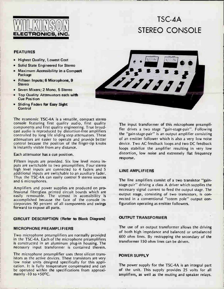

# TSC-4A STEREO CONSOLE

#### FEATURES

- Highest Quality, Lowest Cost
- Solid State Engineered for Stereo
- Maximum Accessibility in a Compact Package
- Fifteen Inputs; 6 Microphone, 9 Stereo
- Seven Mixers; 2 Mono, 5 Stereo
- **Top Quality Attenuators each with** Cue Position
- **Sliding Faders for Easy Sight** Control

The economic TSC-4A is a versatile, compact stereo console featuring first quality audio, first quality components and first quality engineering. True broadcast audio is reproduced by distortion-free amplifiers controlled by long life sliding step attenuators. These attenuators are easier to operate and provide better control because the position of the finger-tip knobs is instantly visible from any distance.

#### Each attenuator has a cue position.

Fifteen inputs are provided. Six low level mono inputs are switchable to two preamplifiers. Four stereo high level inputs are connected to 4 faders and 5 additional inputs are switchable to an auxiliary fader. Thus the TSC-4A can easily control 9 stereo sources and 6 microphones.

Amplifiers and power supplies are produced on professional fiberglass printed circuit boards which are easily removable. The utmost in accessibility is accomplished because the face of the console incorporates 90 percent of all components and swings forward to expose all parts.

#### CIRCUIT DESCRIPTION (Refer to Block Diagram)

#### MICROPHONE PREAMPLIFIERS

Two microphone preamplifiers are normally provided in the TSC-4A. Each of the microphone preamplifiers is constructed in an aluminum plug-in housing. The necessary input transformer is contained therein.

The microphone preamplifier uses three silicon transistors as the active devices. These transistors are very low noise units designed specifically for this application. It is fully temperature compensated and can be operated within the specifications from approximately  $-10$  to  $+50$ <sup>o</sup>C.



The input transformer of this microphone preamplifier drives a two stage "gain-stage-pair". Following the "gain-stage-pair" is an output amplifier consisting of an emitter follower which is also a very low noise device. Two AC feedback loops and two DC feedback loops stabilize the amplifier resulting in very low distortion, low noise and extremely flat frequency response.

#### LINE AMPLIFIERS

The line amplifiers consist of a two transistor "gainstage-pair" driving a class A driver which supplies the necessary signal current to feed the output stage. The output stage, consisting of two transistors, is connected in a conventional "totem pole" output configuration operating as emitter followers.

# OUTPUT TRANSFORMER

The use of an output transformer allows the driving of both high impedance and balanced or unbalanced 600 ohm lines. By restrapping the secondary of the transformer 150 ohm lines can be driven.

#### POWER SUPPLY

The power supply for the TSC-4A is an integral part of the unit. This supply provides 25 volts for all amplifiers, as well as the muting and speaker relays.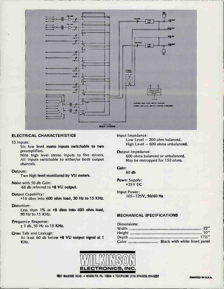

# ELECTRICAL CHARACTERISTICS

#### 15 Inputs:

Six low level mono inputs switchable to two preamplifiers.

Nine high level stereo inputs to five mixers. All inputs switchable to either/or both output channels.

#### Outputs:

Two high level monitored by VU meters.

## Noise with 50 db Gain: -68 db referred to +8 VU output.

**Output Capability:** +16 dbm into 600 ohm load, 30 Hz to 15 KHz.

Distortion:

Less than 1% at +8 dbm into 600 ohm load, 50 Hz to 15 KHz.

#### Frequency Response:  $± 1$  db, 50 Hz to 15 KHz.

#### Cross Talk and Leakage:

At least 60 db below +8 VU output signal at 1 KHz.

Input Impedance:

Low Level — 200 ohm balanced. High Level — 600 ohms unbalanced.

Output Impedance: 600 ohms balanced or unbalanced. May be restrapped for 150 ohms.

#### Gain:

60 db

Power Supply: +25V DC

Input Power: 105-125V, 50/60 Hz

#### MECHANICAL SPECIFICATIONS

| Dimensions: |  |
|-------------|--|
|             |  |
|             |  |
|             |  |
|             |  |



1937 MacDADE BLVD. • WOODLYN, PA. 19094 • TELEPHONE (215) 874-5236 874-5237 PRINTED IN U.S.A.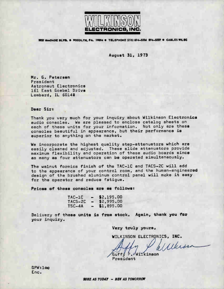

1937 MacDADE BLVD. • WOODLYN., PA. 19094 • TELEPHONE (215) 874-5236 874-5237 CABLES WIL EC

August 31, 1973

Mr. G. Petersen President Astronaut Electronics 161 East Goebel Drive Lombard, IL 60148

### Dear Sir:

Thank you very much for your inquiry about Wilkinson Electronics audio consoles. We are pleased to enclose catalog sheets on each of these units for your information. Not only are these consoles beautiful in appearance, but their performance is superior to anything on the market.

We incorporate the highest quality step-attenuators which are easily cleaned and adjusted. These slide attenuators provide maximum flexibility and operation of these audio boards since as many as four attenuators can be operated simultaneously.

The walnut formica finish of the TAC-1C and TACS-2C will add to the appearance of your control room, and the human-engineered design of the brushed aluminum control panel will make it easy for the operator and reduce fatigue.

Prices of these consoles are as follows:

| <b>TAC-1C</b>  | $\qquad \qquad \Longleftrightarrow$ | \$2,195.00 |
|----------------|-------------------------------------|------------|
| <b>TACS-2C</b> | $\blacksquare$                      | \$2,995.00 |
| TSC-4A         | -                                   | \$1,895.00 |

Delivery of these units is from stock. Again, thank you for your inquiry.

Very truly yours,

WILKINSON ELECTRONICS, INC.

When

 $GurfY \vdash Wifkinson$ President

GPW:loc Enc.

SURE AS TODAY - NEW AS TOMORROW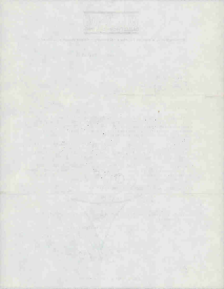

the first state of the property of the state of the state of the state of the state of the state of the state of

**Little State of Contract** 

<u> Pierre Maria III</u>

 $\mathcal{A}$  .

**Contract Contract Contract Contract The Committee of the Committee** 

 $\overline{1}$  ,  $\overline{1}$  ,  $\overline{1}$  ,  $\overline{1}$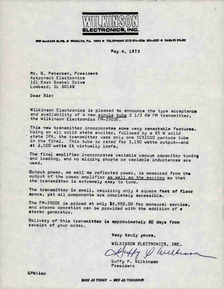

1917 NocDADE BLVD. ei WOOOLVIL PA. 19094 • TELEPHONE (215) 874.-5236 174.-5237 .• CABLES W1LE'C

May 4, 1973

Mr. G. Petersen, President Astronaut Electronics 161 East Goebel Drive Lombard, IL 60148

Dear Sir:

Wilkinson Electronics is pleased to announce the type acceptance and availability of a new single tube 2 1/2 KW FM transmitter, the Wilkinson Electronics FM-2500E.

This new transmitter incorporates some very remarkable features. Using an all solid state exciter, followed by a 65 W solid state IPA, the transmitter uses only one 5CX1500 pentode tube in the final. This tube is rated for 3,150 watts output--and at 2,500 watts it virtually loafs.

The final amplifier incorporates variable vacuum capacitor tuning and loading, and no sliding shorts or variable inductances are used.

Output power, as well as reflected power, is measured from the output of the power amplifier as well as the exciter so that the transmitter is extremely easy to tune.

The transmitter is small, requiring only 4 square feet of floor space, yet all components are completely accessible.

The FM-2500E is priced at only \$8,950.00 for monaural service, and stereo operation can be provided with the addition of a stereo generator.

Delivery of this transmitter is approximately 60 days from receipt of your order.

Very truly yours,

WILKINSON ELECTRONICS, INC.

Weller

Guffy P. Wilkinson President